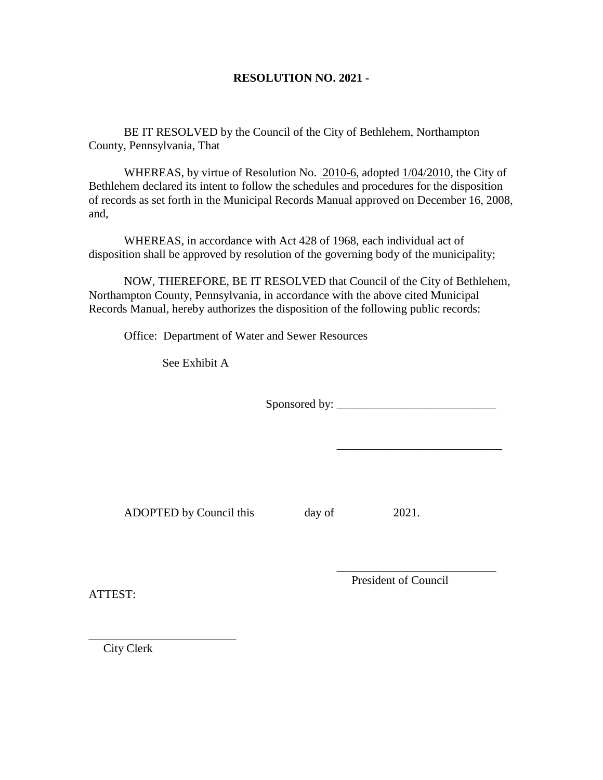## **RESOLUTION NO. 2021 -**

BE IT RESOLVED by the Council of the City of Bethlehem, Northampton County, Pennsylvania, That

WHEREAS, by virtue of Resolution No. 2010-6, adopted 1/04/2010, the City of Bethlehem declared its intent to follow the schedules and procedures for the disposition of records as set forth in the Municipal Records Manual approved on December 16, 2008, and,

WHEREAS, in accordance with Act 428 of 1968, each individual act of disposition shall be approved by resolution of the governing body of the municipality;

NOW, THEREFORE, BE IT RESOLVED that Council of the City of Bethlehem, Northampton County, Pennsylvania, in accordance with the above cited Municipal Records Manual, hereby authorizes the disposition of the following public records:

Office: Department of Water and Sewer Resources

See Exhibit A

Sponsored by: \_\_\_\_\_\_\_\_\_\_\_\_\_\_\_\_\_\_\_\_\_\_\_\_\_\_\_

ADOPTED by Council this day of 2021.

 $\frac{1}{2}$  , and the set of the set of the set of the set of the set of the set of the set of the set of the set of the set of the set of the set of the set of the set of the set of the set of the set of the set of the set

\_\_\_\_\_\_\_\_\_\_\_\_\_\_\_\_\_\_\_\_\_\_\_\_\_\_\_\_

ATTEST:

President of Council

City Clerk

\_\_\_\_\_\_\_\_\_\_\_\_\_\_\_\_\_\_\_\_\_\_\_\_\_